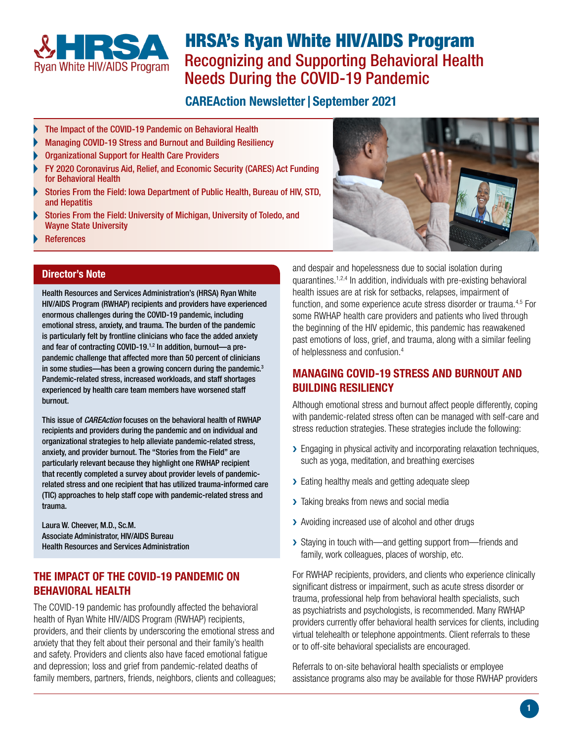

# HRSA's Ryan White HIV/AIDS Program Recognizing and Supporting Behavioral Health Needs During the COVID-19 Pandemic

## **CAREAction Newsletter | September 2021**

- [The Impact of the COVID-19 Pandemic on Behavioral Health](#page-0-0)
- [Managing COVID-19 Stress and Burnout and Building Resiliency](#page-0-1)
- [Organizational Support for Health Care Providers](#page-1-0)
- [FY 2020 Coronavirus Aid, Relief, and Economic Security \(CARES\) Act Funding](#page-1-1)  for Behavioral Health
- [Stories From the Field: Iowa Department of Public Health, Bureau of HIV, STD,](#page-1-2)  and Hepatitis
- [Stories From the Field: University of Michigan, University of Toledo, and](#page-2-0)  [Wayne State University](#page-2-0)
- [References](#page-3-0)

#### Director's Note

Health Resources and Services Administration's (HRSA) Ryan White HIV/AIDS Program (RWHAP) recipients and providers have experienced enormous challenges during the COVID-19 pandemic, including emotional stress, anxiety, and trauma. The burden of the pandemic is particularly felt by frontline clinicians who face the added anxiety and fear of contracting COVID-19. $1,2$  In addition, burnout-a prepandemic challenge that affected more than 50 percent of clinicians in some studies—has been a growing concern during the pandemic.<sup>3</sup> Pandemic-related stress, increased workloads, and staff shortages experienced by health care team members have worsened staff burnout.

This issue of *CAREAction* focuses on the behavioral health of RWHAP recipients and providers during the pandemic and on individual and organizational strategies to help alleviate pandemic-related stress, anxiety, and provider burnout. The "Stories from the Field" are particularly relevant because they highlight one RWHAP recipient that recently completed a survey about provider levels of pandemicrelated stress and one recipient that has utilized trauma-informed care (TIC) approaches to help staff cope with pandemic-related stress and trauma.

Laura W. Cheever, M.D., Sc.M. Associate Administrator, HIV/AIDS Bureau Health Resources and Services Administration

#### <span id="page-0-0"></span>THE IMPACT OF THE COVID-19 PANDEMIC ON BEHAVIORAL HEALTH

The COVID-19 pandemic has profoundly affected the behavioral health of Ryan White HIV/AIDS Program (RWHAP) recipients, providers, and their clients by underscoring the emotional stress and anxiety that they felt about their personal and their family's health and safety. Providers and clients also have faced emotional fatigue and depression; loss and grief from pandemic-related deaths of family members, partners, friends, neighbors, clients and colleagues; and despair and hopelessness due to social isolation during quarantines.<sup>1,2,4</sup> In addition, individuals with pre-existing behavioral health issues are at risk for setbacks, relapses, impairment of function, and some experience acute stress disorder or trauma.<sup>4,5</sup> For some RWHAP health care providers and patients who lived through the beginning of the HIV epidemic, this pandemic has reawakened past emotions of loss, grief, and trauma, along with a similar feeling of helplessness and confusion. 4

## <span id="page-0-1"></span>MANAGING COVID-19 STRESS AND BURNOUT AND BUILDING RESILIENCY

Although emotional stress and burnout affect people differently, coping with pandemic-related stress often can be managed with self-care and stress reduction strategies. These strategies include the following:

- ▶ Engaging in physical activity and incorporating relaxation techniques, such as yoga, meditation, and breathing exercises
- ▶ Eating healthy meals and getting adequate sleep
- > Taking breaks from news and social media
- > Avoiding increased use of alcohol and other drugs
- ▶ Staying in touch with—and getting support from—friends and family, work colleagues, places of worship, etc.

For RWHAP recipients, providers, and clients who experience clinically significant distress or impairment, such as acute stress disorder or trauma, professional help from behavioral health specialists, such as psychiatrists and psychologists, is recommended. Many RWHAP providers currently offer behavioral health services for clients, including virtual telehealth or telephone appointments. Client referrals to these or to off-site behavioral specialists are encouraged.

Referrals to on-site behavioral health specialists or employee assistance programs also may be available for those RWHAP providers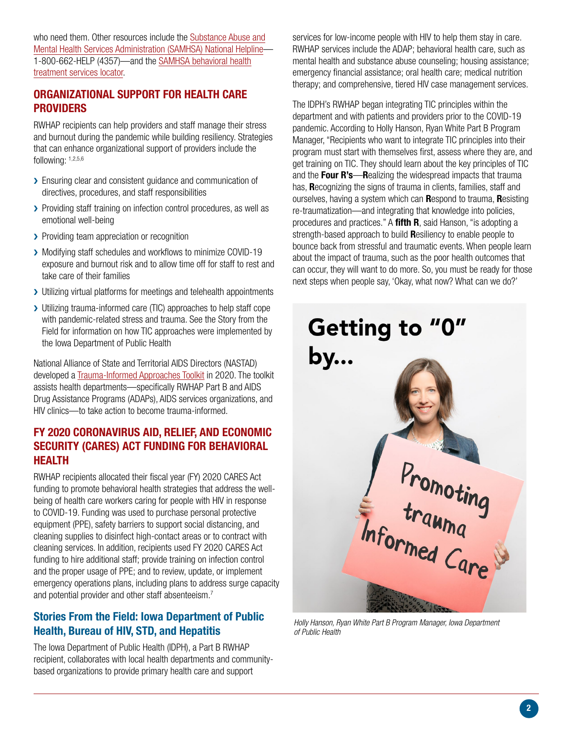who need them. Other resources include the [Substance Abuse and](https://www.samhsa.gov/find-help/national-helpline) [Mental Health Services Administration \(SAMHSA\) National Helpline](https://www.samhsa.gov/find-help/national-helpline)— 1-800-662-HELP (4357)—and the [SAMHSA behavioral health](https://findtreatment.samhsa.gov/) [treatment services locator](https://findtreatment.samhsa.gov/).

### <span id="page-1-0"></span>ORGANIZATIONAL SUPPORT FOR HEALTH CARE **PROVIDERS**

RWHAP recipients can help providers and staff manage their stress and burnout during the pandemic while building resiliency. Strategies that can enhance organizational support of providers include the following: 1,2,5,6

- > Ensuring clear and consistent guidance and communication of directives, procedures, and staff responsibilities
- > Providing staff training on infection control procedures, as well as emotional well-being
- > Providing team appreciation or recognition
- > Modifying staff schedules and workflows to minimize COVID-19 exposure and burnout risk and to allow time off for staff to rest and take care of their families
- > Utilizing virtual platforms for meetings and telehealth appointments
- > Utilizing trauma-informed care (TIC) approaches to help staff cope with pandemic-related stress and trauma. See the Story from the Field for information on how TIC approaches were implemented by the Iowa Department of Public Health

National Alliance of State and Territorial AIDS Directors (NASTAD) developed a [Trauma-Informed Approaches Toolkit](https://www.nastad.org/trauma-informed-approaches) in 2020. The toolkit assists health departments—specifically RWHAP Part B and AIDS Drug Assistance Programs (ADAPs), AIDS services organizations, and HIV clinics—to take action to become trauma-informed.

#### <span id="page-1-1"></span>FY 2020 CORONAVIRUS AID, RELIEF, AND ECONOMIC SECURITY (CARES) ACT FUNDING FOR BEHAVIORAL HEALTH

RWHAP recipients allocated their fiscal year (FY) 2020 CARES Act funding to promote behavioral health strategies that address the wellbeing of health care workers caring for people with HIV in response to COVID-19. Funding was used to purchase personal protective equipment (PPE), safety barriers to support social distancing, and cleaning supplies to disinfect high-contact areas or to contract with cleaning services. In addition, recipients used FY 2020 CARES Act funding to hire additional staff; provide training on infection control and the proper usage of PPE; and to review, update, or implement emergency operations plans, including plans to address surge capacity and potential provider and other staff absenteeism.<sup>7</sup>

#### <span id="page-1-2"></span>Stories From the Field: Iowa Department of Public Health, Bureau of HIV, STD, and Hepatitis

The Iowa Department of Public Health (IDPH), a Part B RWHAP recipient, collaborates with local health departments and communitybased organizations to provide primary health care and support

services for low-income people with HIV to help them stay in care. RWHAP services include the ADAP; behavioral health care, such as mental health and substance abuse counseling; housing assistance; emergency financial assistance; oral health care; medical nutrition therapy; and comprehensive, tiered HIV case management services.

The IDPH's RWHAP began integrating TIC principles within the department and with patients and providers prior to the COVID-19 pandemic. According to Holly Hanson, Ryan White Part B Program Manager, "Recipients who want to integrate TIC principles into their program must start with themselves first, assess where they are, and get training on TIC. They should learn about the key principles of TIC and the Four R's-Realizing the widespread impacts that trauma has, **Recognizing the signs of trauma in clients, families, staff and** ourselves, having a system which can Respond to trauma, Resisting re-traumatization—and integrating that knowledge into policies, procedures and practices." A fifth R, said Hanson, "is adopting a strength-based approach to build **R**esiliency to enable people to bounce back from stressful and traumatic events. When people learn about the impact of trauma, such as the poor health outcomes that can occur, they will want to do more. So, you must be ready for those next steps when people say, 'Okay, what now? What can we do?'



*Holly Hanson, Ryan White Part B Program Manager, Iowa Department of Public Health*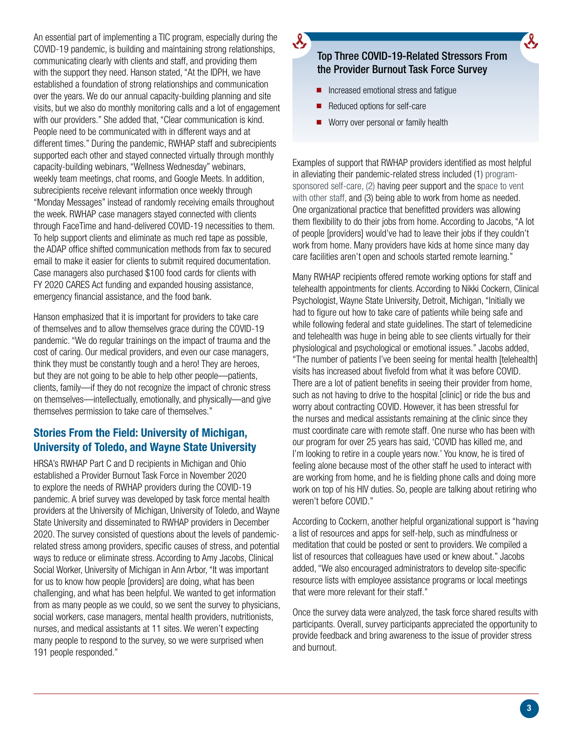An essential part of implementing a TIC program, especially during the COVID-19 pandemic, is building and maintaining strong relationships, communicating clearly with clients and staff, and providing them with the support they need. Hanson stated, "At the IDPH, we have established a foundation of strong relationships and communication over the years. We do our annual capacity-building planning and site visits, but we also do monthly monitoring calls and a lot of engagement with our providers." She added that, "Clear communication is kind. People need to be communicated with in different ways and at different times." During the pandemic, RWHAP staff and subrecipients supported each other and stayed connected virtually through monthly capacity-building webinars, "Wellness Wednesday" webinars, weekly team meetings, chat rooms, and Google Meets. In addition, subrecipients receive relevant information once weekly through "Monday Messages" instead of randomly receiving emails throughout the week. RWHAP case managers stayed connected with clients through FaceTime and hand-delivered COVID-19 necessities to them. To help support clients and eliminate as much red tape as possible, the ADAP office shifted communication methods from fax to secured email to make it easier for clients to submit required documentation. Case managers also purchased \$100 food cards for clients with FY 2020 CARES Act funding and expanded housing assistance, emergency financial assistance, and the food bank.

Hanson emphasized that it is important for providers to take care of themselves and to allow themselves grace during the COVID-19 pandemic. "We do regular trainings on the impact of trauma and the cost of caring. Our medical providers, and even our case managers, think they must be constantly tough and a hero! They are heroes, but they are not going to be able to help other people—patients, clients, family—if they do not recognize the impact of chronic stress on themselves—intellectually, emotionally, and physically—and give themselves permission to take care of themselves."

#### <span id="page-2-0"></span>Stories From the Field: University of Michigan, University of Toledo, and Wayne State University

HRSA's RWHAP Part C and D recipients in Michigan and Ohio established a Provider Burnout Task Force in November 2020 to explore the needs of RWHAP providers during the COVID-19 pandemic. A brief survey was developed by task force mental health providers at the University of Michigan, University of Toledo, and Wayne State University and disseminated to RWHAP providers in December 2020. The survey consisted of questions about the levels of pandemicrelated stress among providers, specific causes of stress, and potential ways to reduce or eliminate stress. According to Amy Jacobs, Clinical Social Worker, University of Michigan in Ann Arbor, "It was important for us to know how people [providers] are doing, what has been challenging, and what has been helpful. We wanted to get information from as many people as we could, so we sent the survey to physicians, social workers, case managers, mental health providers, nutritionists, nurses, and medical assistants at 11 sites. We weren't expecting many people to respond to the survey, so we were surprised when 191 people responded."

## Top Three COVID-19-Related Stressors From the Provider Burnout Task Force Survey

- Increased emotional stress and fatigue
- Reduced options for self-care
- Worry over personal or family health

Examples of support that RWHAP providers identified as most helpful in alleviating their pandemic-related stress included (1) programsponsored self-care, (2) having peer support and the space to vent with other staff, and (3) being able to work from home as needed. One organizational practice that benefitted providers was allowing them flexibility to do their jobs from home. According to Jacobs, "A lot of people [providers] would've had to leave their jobs if they couldn't work from home. Many providers have kids at home since many day care facilities aren't open and schools started remote learning."

Many RWHAP recipients offered remote working options for staff and telehealth appointments for clients. According to Nikki Cockern, Clinical Psychologist, Wayne State University, Detroit, Michigan, "Initially we had to figure out how to take care of patients while being safe and while following federal and state guidelines. The start of telemedicine and telehealth was huge in being able to see clients virtually for their physiological and psychological or emotional issues." Jacobs added, "The number of patients I've been seeing for mental health [telehealth] visits has increased about fivefold from what it was before COVID. There are a lot of patient benefits in seeing their provider from home, such as not having to drive to the hospital [clinic] or ride the bus and worry about contracting COVID. However, it has been stressful for the nurses and medical assistants remaining at the clinic since they must coordinate care with remote staff. One nurse who has been with our program for over 25 years has said, 'COVID has killed me, and I'm looking to retire in a couple years now.' You know, he is tired of feeling alone because most of the other staff he used to interact with are working from home, and he is fielding phone calls and doing more work on top of his HIV duties. So, people are talking about retiring who weren't before COVID."

According to Cockern, another helpful organizational support is "having a list of resources and apps for self-help, such as mindfulness or meditation that could be posted or sent to providers. We compiled a list of resources that colleagues have used or knew about." Jacobs added, "We also encouraged administrators to develop site-specific resource lists with employee assistance programs or local meetings that were more relevant for their staff."

Once the survey data were analyzed, the task force shared results with participants. Overall, survey participants appreciated the opportunity to provide feedback and bring awareness to the issue of provider stress and burnout.